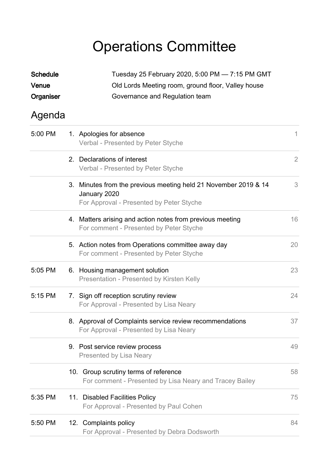## Operations Committee

| <b>Schedule</b> | Tuesday 25 February 2020, 5:00 PM - 7:15 PM GMT                                                                             |                |  |
|-----------------|-----------------------------------------------------------------------------------------------------------------------------|----------------|--|
| Venue           | Old Lords Meeting room, ground floor, Valley house                                                                          |                |  |
| Organiser       | Governance and Regulation team                                                                                              |                |  |
| Agenda          |                                                                                                                             |                |  |
| 5:00 PM         | 1. Apologies for absence<br>Verbal - Presented by Peter Styche                                                              | 1              |  |
|                 | 2. Declarations of interest<br>Verbal - Presented by Peter Styche                                                           | $\overline{2}$ |  |
|                 | 3. Minutes from the previous meeting held 21 November 2019 & 14<br>January 2020<br>For Approval - Presented by Peter Styche | 3              |  |
|                 | 4. Matters arising and action notes from previous meeting<br>For comment - Presented by Peter Styche                        | 16             |  |
|                 | 5. Action notes from Operations committee away day<br>For comment - Presented by Peter Styche                               | 20             |  |
| 5:05 PM         | 6. Housing management solution<br>Presentation - Presented by Kirsten Kelly                                                 | 23             |  |
| 5:15 PM         | 7. Sign off reception scrutiny review<br>For Approval - Presented by Lisa Neary                                             | 24             |  |
|                 | 8. Approval of Complaints service review recommendations<br>For Approval - Presented by Lisa Neary                          | 37             |  |
|                 | 9. Post service review process<br><b>Presented by Lisa Neary</b>                                                            | 49             |  |
|                 | 10. Group scrutiny terms of reference<br>For comment - Presented by Lisa Neary and Tracey Bailey                            | 58             |  |
| 5:35 PM         | 11. Disabled Facilities Policy<br>For Approval - Presented by Paul Cohen                                                    | 75             |  |
| 5:50 PM         | 12. Complaints policy<br>For Approval - Presented by Debra Dodsworth                                                        | 84             |  |